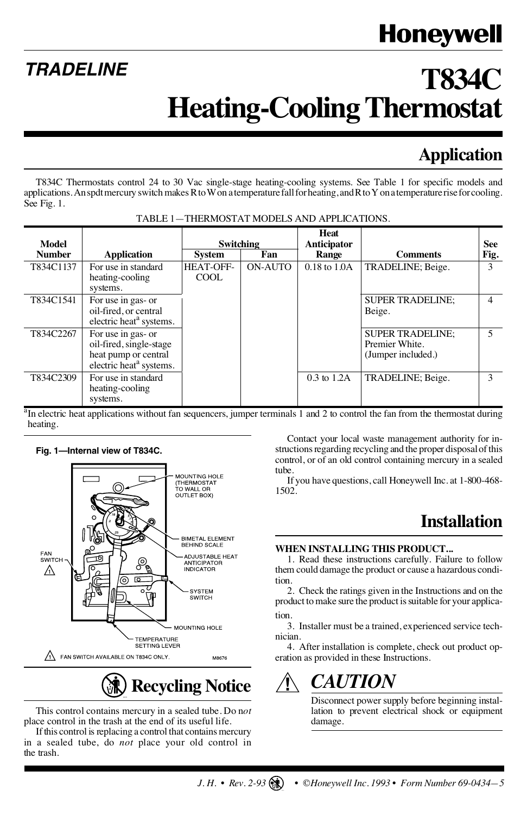# Honeywell

# **T834C Heating-Cooling Thermostat**

## **Application**

T834C Thermostats control 24 to 30 Vac single-stage heating-cooling systems. See Table 1 for specific models and applications. An spdt mercury switch makes R to W on a temperature fall for heating, and R to Y on a temperature rise for cooling. See Fig. 1.

| Model         |                                                                                                              | Switching          |         | Heat<br>Anticipator |                                                                 | <b>See</b>     |
|---------------|--------------------------------------------------------------------------------------------------------------|--------------------|---------|---------------------|-----------------------------------------------------------------|----------------|
| <b>Number</b> | <b>Application</b>                                                                                           | System             | Fan     | Range               | <b>Comments</b>                                                 | Fig.           |
| T834C1137     | For use in standard<br>heating-cooling<br>systems.                                                           | HEAT-OFF-<br>COOL. | ON-AUTO | $0.18$ to $1.0A$    | TRADELINE; Beige.                                               | $\mathbf{3}$   |
| T834C1541     | For use in gas- or<br>oil-fired, or central<br>electric heat <sup>a</sup> systems.                           |                    |         |                     | <b>SUPER TRADELINE:</b><br>Beige.                               | 4              |
| T834C2267     | For use in gas- or<br>oil-fired, single-stage<br>heat pump or central<br>electric heat <sup>a</sup> systems. |                    |         |                     | <b>SUPER TRADELINE:</b><br>Premier White.<br>(Jumper included.) | $\overline{5}$ |
| T834C2309     | For use in standard<br>heating-cooling<br>systems.                                                           |                    |         | $0.3$ to $1.2$ A    | TRADELINE: Beige.                                               | 3              |

<sup>a</sup>In electric heat applications without fan sequencers, jumper terminals 1 and 2 to control the fan from the thermostat during heating.

#### **Fig. 1—Internal view of T834C.**

**TRADELINE**



**Recycling Notice**

This control contains mercury in a sealed tube. Do n*ot* place control in the trash at the end of its useful life.

If this control is replacing a control that contains mercury in a sealed tube, do *not* place your old control in the trash.

Contact your local waste management authority for instructions regarding recycling and the proper disposal of this control, or of an old control containing mercury in a sealed tube.

If you have questions, call Honeywell Inc. at 1-800-468- 1502.

### **Installation**

#### **WHEN INSTALLING THIS PRODUCT...**

1. Read these instructions carefully. Failure to follow them could damage the product or cause a hazardous condition.

tion. 2. Check the ratings given in the Instructions and on the product to make sure the product is suitable for your applica-

3. Installer must be a trained, experienced service technician.

4. After installation is complete, check out product operation as provided in these Instructions.

## *CAUTION*

Disconnect power supply before beginning installation to prevent electrical shock or equipment damage.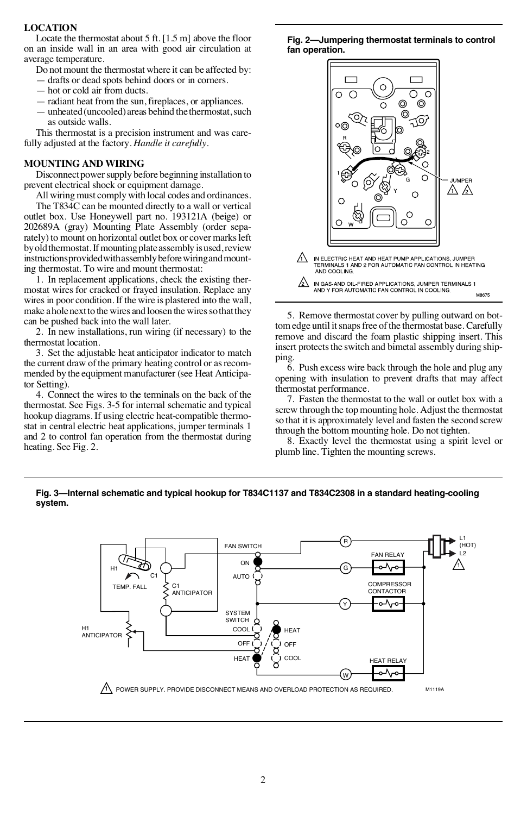#### **LOCATION**

Locate the thermostat about 5 ft. [1.5 m] above the floor on an inside wall in an area with good air circulation at average temperature.

Do not mount the thermostat where it can be affected by:

- drafts or dead spots behind doors or in corners.
- hot or cold air from ducts.
- radiant heat from the sun, fireplaces, or appliances.

— unheated (uncooled) areas behind the thermostat, such as outside walls.

This thermostat is a precision instrument and was carefully adjusted at the factory. *Handle it carefully*.

#### **MOUNTING AND WIRING**

Disconnect power supply before beginning installation to prevent electrical shock or equipment damage.

All wiring must comply with local codes and ordinances.

The T834C can be mounted directly to a wall or vertical outlet box. Use Honeywell part no. 193121A (beige) or 202689A (gray) Mounting Plate Assembly (order separately) to mount on horizontal outlet box or cover marks left by old thermostat. If mounting plate assembly is used, review instructions provided with assembly before wiring and mounting thermostat. To wire and mount thermostat:

1. In replacement applications, check the existing thermostat wires for cracked or frayed insulation. Replace any wires in poor condition. If the wire is plastered into the wall, make a hole next to the wires and loosen the wires so that they can be pushed back into the wall later.

2. In new installations, run wiring (if necessary) to the thermostat location.

3. Set the adjustable heat anticipator indicator to match the current draw of the primary heating control or as recommended by the equipment manufacturer (see Heat Anticipator Setting).

4. Connect the wires to the terminals on the back of the thermostat. See Figs. 3-5 for internal schematic and typical hookup diagrams. If using electric heat-compatible thermostat in central electric heat applications, jumper terminals 1 and 2 to control fan operation from the thermostat during heating. See Fig. 2.

**Fig. 2—Jumpering thermostat terminals to control fan operation.**



5. Remove thermostat cover by pulling outward on bottom edge until it snaps free of the thermostat base. Carefully remove and discard the foam plastic shipping insert. This insert protects the switch and bimetal assembly during shipping.

6. Push excess wire back through the hole and plug any opening with insulation to prevent drafts that may affect thermostat performance.

7. Fasten the thermostat to the wall or outlet box with a screw through the top mounting hole. Adjust the thermostat so that it is approximately level and fasten the second screw through the bottom mounting hole. Do not tighten.

8. Exactly level the thermostat using a spirit level or plumb line. Tighten the mounting screws.

#### **Fig. 3—Internal schematic and typical hookup for T834C1137 and T834C2308 in a standard heating-cooling system.**

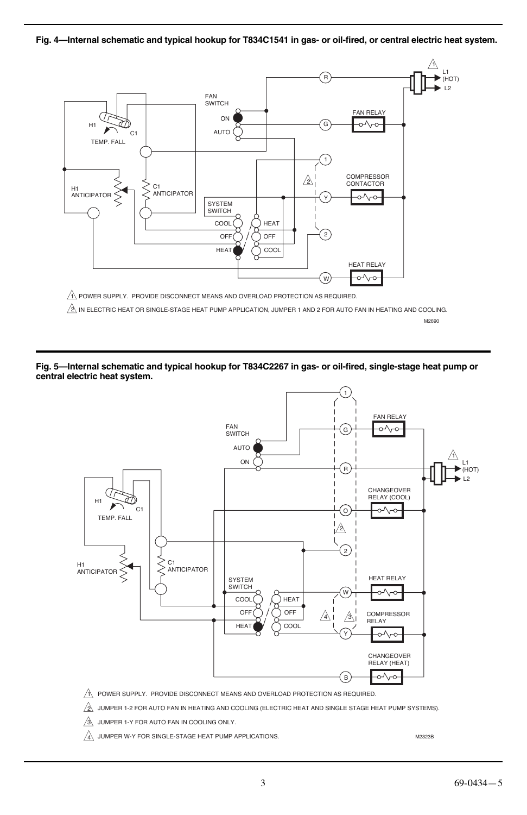**Fig. 4—Internal schematic and typical hookup for T834C1541 in gas- or oil-fired, or central electric heat system.**



 $\underline{\mathbb{A}}$  in electric heat or single-stage heat pump application, jumper 1 and 2 for auto fan in heating and cooling.

M2690

#### **Fig. 5—Internal schematic and typical hookup for T834C2267 in gas- or oil-fired, single-stage heat pump or central electric heat system.**



1\ POWER SUPPLY. PROVIDE DISCONNECT MEANS AND OVERLOAD PROTECTION AS REQUIRED.

JUMPER 1-2 FOR AUTO FAN IN HEATING AND COOLING (ELECTRIC HEAT AND SINGLE STAGE HEAT PUMP SYSTEMS). 2

JUMPER 1-Y FOR AUTO FAN IN COOLING ONLY. 3

 $\overline{4}$  JUMPER W-Y FOR SINGLE-STAGE HEAT PUMP APPLICATIONS.

M2323B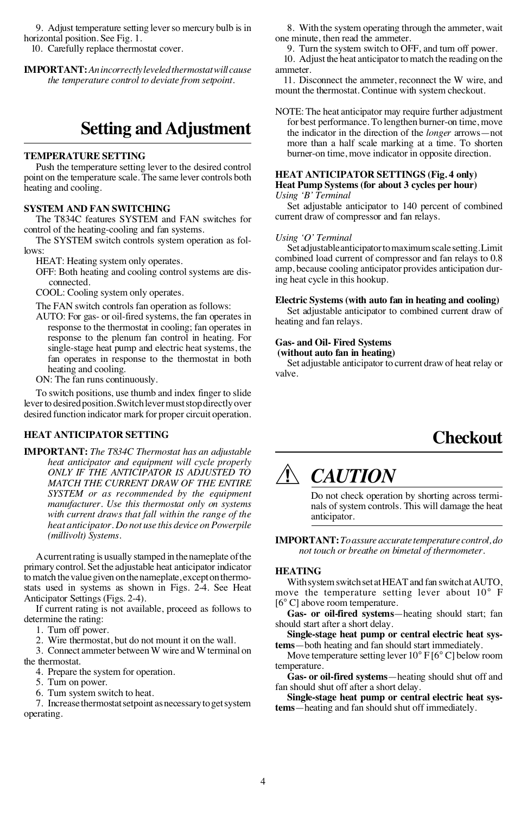9. Adjust temperature setting lever so mercury bulb is in horizontal position. See Fig. 1.

10. Carefully replace thermostat cover.

**IMPORTANT:** *An incorrectly leveled thermostat will cause the temperature control to deviate from setpoint.*

### **Setting and Adjustment**

#### **TEMPERATURE SETTING**

Push the temperature setting lever to the desired control point on the temperature scale. The same lever controls both heating and cooling.

#### **SYSTEM AND FAN SWITCHING**

The T834C features SYSTEM and FAN switches for control of the heating-cooling and fan systems.

The SYSTEM switch controls system operation as follows:

HEAT: Heating system only operates.

OFF: Both heating and cooling control systems are disconnected.

COOL: Cooling system only operates.

The FAN switch controls fan operation as follows:

AUTO: For gas- or oil-fired systems, the fan operates in response to the thermostat in cooling; fan operates in response to the plenum fan control in heating. For single-stage heat pump and electric heat systems, the fan operates in response to the thermostat in both heating and cooling.

ON: The fan runs continuously.

To switch positions, use thumb and index finger to slide lever to desired position. Switch lever must stop directly over desired function indicator mark for proper circuit operation.

#### **HEAT ANTICIPATOR SETTING**

**IMPORTANT:** *The T834C Thermostat has an adjustable heat anticipator and equipment will cycle properly ONLY IF THE ANTICIPATOR IS ADJUSTED TO MATCH THE CURRENT DRAW OF THE ENTIRE SYSTEM or as recommended by the equipment manufacturer. Use this thermostat only on systems with current draws that fall within the range of the heat anticipator. Do not use this device on Powerpile (millivolt) Systems.*

A current rating is usually stamped in the nameplate of the primary control. Set the adjustable heat anticipator indicator to match the value given on the nameplate, except on thermostats used in systems as shown in Figs. 2-4. See Heat Anticipator Settings (Figs. 2-4).

If current rating is not available, proceed as follows to determine the rating:

1. Turn off power.

2. Wire thermostat, but do not mount it on the wall.

3. Connect ammeter between W wire and W terminal on the thermostat.

4. Prepare the system for operation.

5. Turn on power.

6. Turn system switch to heat.

7. Increase thermostat setpoint as necessary to get system operating.

8. With the system operating through the ammeter, wait one minute, then read the ammeter.

9. Turn the system switch to OFF, and turn off power.

10. Adjust the heat anticipator to match the reading on the ammeter.

11. Disconnect the ammeter, reconnect the W wire, and mount the thermostat. Continue with system checkout.

NOTE: The heat anticipator may require further adjustment for best performance. To lengthen burner-on time, move the indicator in the direction of the *longer* arrows—not more than a half scale marking at a time. To shorten burner-on time, move indicator in opposite direction.

#### **HEAT ANTICIPATOR SETTINGS (Fig. 4 only) Heat Pump Systems (for about 3 cycles per hour)**

*Using 'B' Terminal*

Set adjustable anticipator to 140 percent of combined current draw of compressor and fan relays.

#### *Using 'O' Terminal*

Set adjustable anticipator to maximum scale setting. Limit combined load current of compressor and fan relays to 0.8 amp, because cooling anticipator provides anticipation during heat cycle in this hookup.

#### **Electric Systems (with auto fan in heating and cooling)**

Set adjustable anticipator to combined current draw of heating and fan relays.

#### **Gas- and Oil- Fired Systems**

 **(without auto fan in heating)**

Set adjustable anticipator to current draw of heat relay or valve.

### **Checkout**

## *CAUTION*

Do not check operation by shorting across terminals of system controls. This will damage the heat anticipator.

**IMPORTANT:** *To assure accurate temperature control, do not touch or breathe on bimetal of thermometer.*

#### **HEATING**

With system switch set at HEAT and fan switch at AUTO, move the temperature setting lever about 10° F [6° C] above room temperature.

**Gas- or oil-fired systems**—heating should start; fan should start after a short delay.

**Single-stage heat pump or central electric heat systems**—both heating and fan should start immediately.

Move temperature setting lever 10° F [6° C] below room temperature.

**Gas- or oil-fired systems**—heating should shut off and fan should shut off after a short delay.

**Single-stage heat pump or central electric heat systems**—heating and fan should shut off immediately.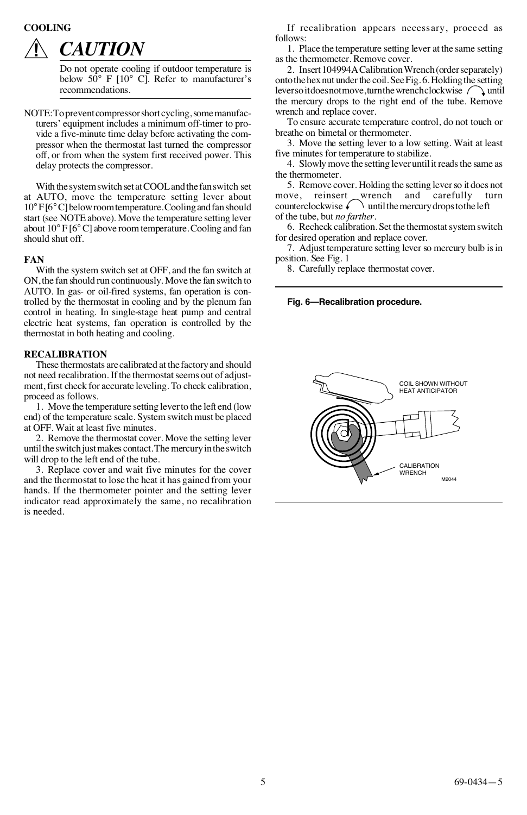#### **COOLING**



## *CAUTION*

Do not operate cooling if outdoor temperature is below  $50^{\circ}$  F  $10^{\circ}$  Cl. Refer to manufacturer's recommendations.

NOTE: To prevent compressor short cycling, some manufacturers' equipment includes a minimum off-timer to provide a five-minute time delay before activating the compressor when the thermostat last turned the compressor off, or from when the system first received power. This delay protects the compressor.

With the system switch set at COOL and the fan switch set at AUTO, move the temperature setting lever about 10°F [6°C] below room temperature. Cooling and fan should start (see NOTE above). Move the temperature setting lever about 10° F [6°C] above room temperature. Cooling and fan should shut off.

#### **FAN**

With the system switch set at OFF, and the fan switch at ON, the fan should run continuously. Move the fan switch to AUTO. In gas- or oil-fired systems, fan operation is controlled by the thermostat in cooling and by the plenum fan control in heating. In single-stage heat pump and central electric heat systems, fan operation is controlled by the thermostat in both heating and cooling.

#### **RECALIBRATION**

These thermostats are calibrated at the factory and should not need recalibration. If the thermostat seems out of adjustment, first check for accurate leveling. To check calibration, proceed as follows.

1. Move the temperature setting lever to the left end (low end) of the temperature scale. System switch must be placed at OFF. Wait at least five minutes.

2. Remove the thermostat cover. Move the setting lever until the switch just makes contact. The mercury in the switch will drop to the left end of the tube.

3. Replace cover and wait five minutes for the cover and the thermostat to lose the heat it has gained from your hands. If the thermometer pointer and the setting lever indicator read approximately the same, no recalibration is needed.

If recalibration appears necessary, proceed as follows:

1. Place the temperature setting lever at the same setting as the thermometer. Remove cover.

2. Insert 104994A Calibration Wrench (order separately) onto the hex nut under the coil. See Fig. 6. Holding the setting lever so it does not move, turn the wrench clockwise  $\bigcap$  until the mercury drops to the right end of the tube. Remove wrench and replace cover.

To ensure accurate temperature control, do not touch or breathe on bimetal or thermometer.

3. Move the setting lever to a low setting. Wait at least five minutes for temperature to stabilize.

4. Slowly move the setting lever until it reads the same as the thermometer.

5. Remove cover. Holding the setting lever so it does not move, reinsert wrench and carefully turn<br>counterclockwise until the mercury drops to the left of the tube, but *no farther*.

6. Recheck calibration. Set the thermostat system switch for desired operation and replace cover.

7. Adjust temperature setting lever so mercury bulb is in position. See Fig. 1

8. Carefully replace thermostat cover.

#### **Fig. 6—Recalibration procedure.**